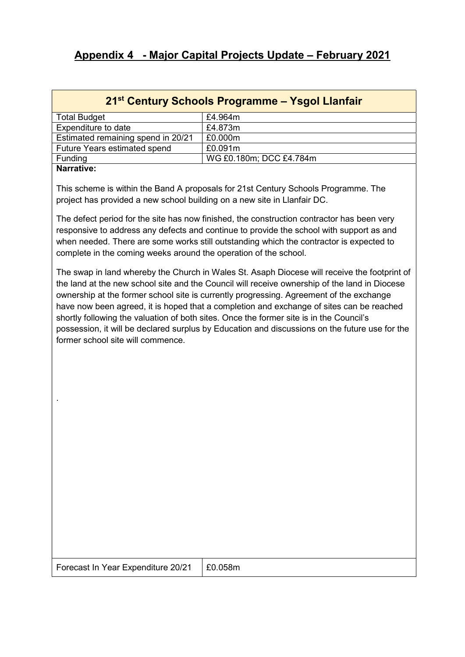# Appendix 4 - Major Capital Projects Update – February 2021

# 21st Century Schools Programme – Ysgol Llanfair

| <b>Total Budget</b>                 | £4.964m                 |
|-------------------------------------|-------------------------|
| Expenditure to date                 | £4.873m                 |
| Estimated remaining spend in 20/21  | £0.000m                 |
| <b>Future Years estimated spend</b> | £0.091m                 |
| Funding                             | WG £0.180m; DCC £4.784m |
| Novembers                           |                         |

#### Narrative:

.

This scheme is within the Band A proposals for 21st Century Schools Programme. The project has provided a new school building on a new site in Llanfair DC.

The defect period for the site has now finished, the construction contractor has been very responsive to address any defects and continue to provide the school with support as and when needed. There are some works still outstanding which the contractor is expected to complete in the coming weeks around the operation of the school.

The swap in land whereby the Church in Wales St. Asaph Diocese will receive the footprint of the land at the new school site and the Council will receive ownership of the land in Diocese ownership at the former school site is currently progressing. Agreement of the exchange have now been agreed, it is hoped that a completion and exchange of sites can be reached shortly following the valuation of both sites. Once the former site is in the Council's possession, it will be declared surplus by Education and discussions on the future use for the former school site will commence.

Forecast In Year Expenditure 20/21 | £0.058m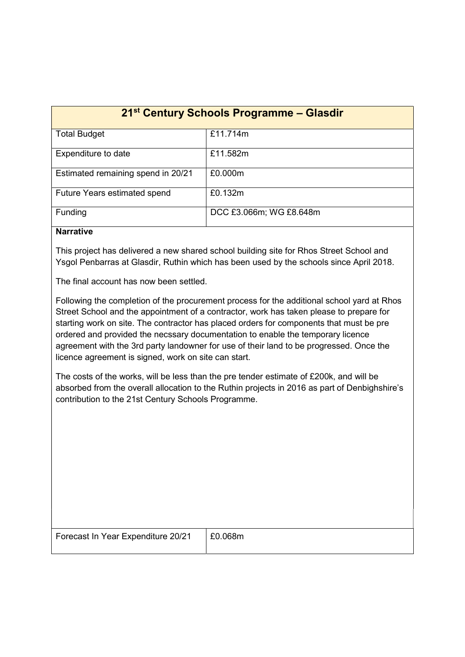| 21 <sup>st</sup> Century Schools Programme – Glasdir |                         |
|------------------------------------------------------|-------------------------|
| <b>Total Budget</b>                                  | £11.714m                |
| Expenditure to date                                  | £11.582m                |
| Estimated remaining spend in 20/21                   | £0.000m                 |
| <b>Future Years estimated spend</b>                  | £0.132m                 |
| Funding                                              | DCC £3.066m; WG £8.648m |

## **Narrative**

This project has delivered a new shared school building site for Rhos Street School and Ysgol Penbarras at Glasdir, Ruthin which has been used by the schools since April 2018.

The final account has now been settled.

Following the completion of the procurement process for the additional school yard at Rhos Street School and the appointment of a contractor, work has taken please to prepare for starting work on site. The contractor has placed orders for components that must be pre ordered and provided the necssary documentation to enable the temporary licence agreement with the 3rd party landowner for use of their land to be progressed. Once the licence agreement is signed, work on site can start.

The costs of the works, will be less than the pre tender estimate of £200k, and will be absorbed from the overall allocation to the Ruthin projects in 2016 as part of Denbighshire's contribution to the 21st Century Schools Programme.

| Forecast In Year Expenditure 20/21 | £0.068m |
|------------------------------------|---------|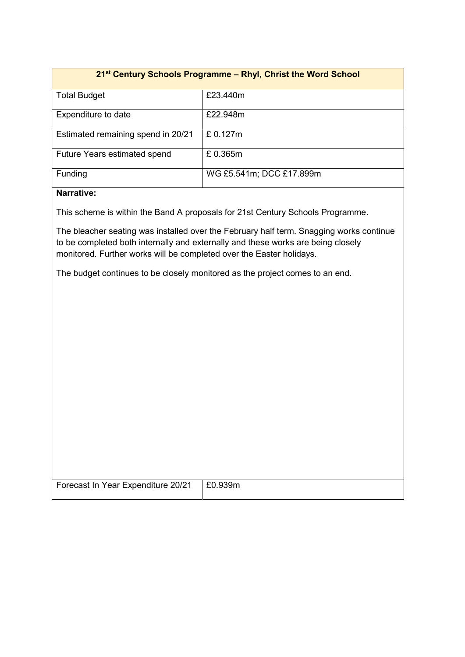# 21<sup>st</sup> Century Schools Programme - Rhyl, Christ the Word School Total Budget **E23.440m** Expenditure to date **EXPENDITE EXPENDITE EXPENDITE EXP** Estimated remaining spend in 20/21  $\left| \right.$  £ 0.127m Future Years estimated spend E 0.365m Funding WG £5.541m; DCC £17.899m

## Narrative:

This scheme is within the Band A proposals for 21st Century Schools Programme.

The bleacher seating was installed over the February half term. Snagging works continue to be completed both internally and externally and these works are being closely monitored. Further works will be completed over the Easter holidays.

The budget continues to be closely monitored as the project comes to an end.

| Forecast In Year Expenditure 20/21 | E0.939m |
|------------------------------------|---------|
|                                    |         |
|                                    |         |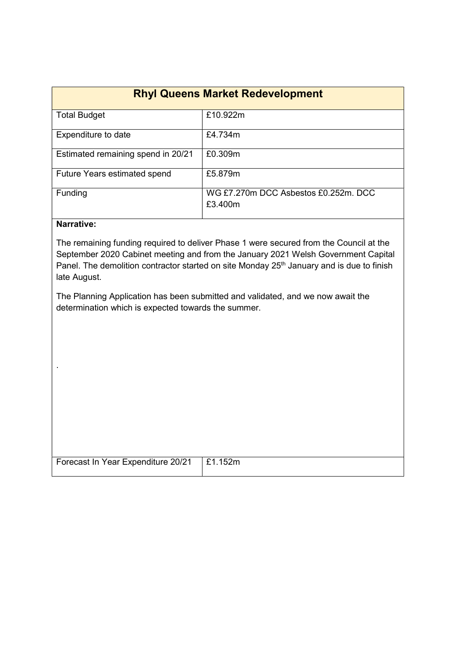| <b>Rhyl Queens Market Redevelopment</b> |                                                 |
|-----------------------------------------|-------------------------------------------------|
| <b>Total Budget</b>                     | £10.922m                                        |
| Expenditure to date                     | £4.734m                                         |
| Estimated remaining spend in 20/21      | £0.309m                                         |
| <b>Future Years estimated spend</b>     | £5.879m                                         |
| Funding                                 | WG £7.270m DCC Asbestos £0.252m, DCC<br>£3.400m |

### Narrative:

.

The remaining funding required to deliver Phase 1 were secured from the Council at the September 2020 Cabinet meeting and from the January 2021 Welsh Government Capital Panel. The demolition contractor started on site Monday 25<sup>th</sup> January and is due to finish late August.

The Planning Application has been submitted and validated, and we now await the determination which is expected towards the summer.

| Forecast In Year Expenditure 20/21   £1.152m |  |
|----------------------------------------------|--|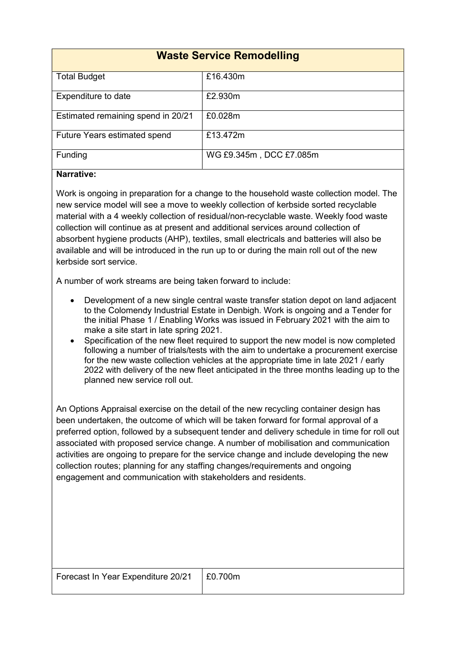| <b>Waste Service Remodelling</b>    |                         |
|-------------------------------------|-------------------------|
| <b>Total Budget</b>                 | £16.430m                |
| Expenditure to date                 | £2.930m                 |
| Estimated remaining spend in 20/21  | £0.028m                 |
| <b>Future Years estimated spend</b> | £13.472m                |
| Funding                             | WG £9.345m, DCC £7.085m |

## Narrative:

Work is ongoing in preparation for a change to the household waste collection model. The new service model will see a move to weekly collection of kerbside sorted recyclable material with a 4 weekly collection of residual/non-recyclable waste. Weekly food waste collection will continue as at present and additional services around collection of absorbent hygiene products (AHP), textiles, small electricals and batteries will also be available and will be introduced in the run up to or during the main roll out of the new kerbside sort service.

A number of work streams are being taken forward to include:

- Development of a new single central waste transfer station depot on land adjacent to the Colomendy Industrial Estate in Denbigh. Work is ongoing and a Tender for the initial Phase 1 / Enabling Works was issued in February 2021 with the aim to make a site start in late spring 2021.
- Specification of the new fleet required to support the new model is now completed following a number of trials/tests with the aim to undertake a procurement exercise for the new waste collection vehicles at the appropriate time in late 2021 / early 2022 with delivery of the new fleet anticipated in the three months leading up to the planned new service roll out.

An Options Appraisal exercise on the detail of the new recycling container design has been undertaken, the outcome of which will be taken forward for formal approval of a preferred option, followed by a subsequent tender and delivery schedule in time for roll out associated with proposed service change. A number of mobilisation and communication activities are ongoing to prepare for the service change and include developing the new collection routes; planning for any staffing changes/requirements and ongoing engagement and communication with stakeholders and residents.

| Forecast In Year Expenditure 20/21   £0.700m |  |
|----------------------------------------------|--|
|                                              |  |